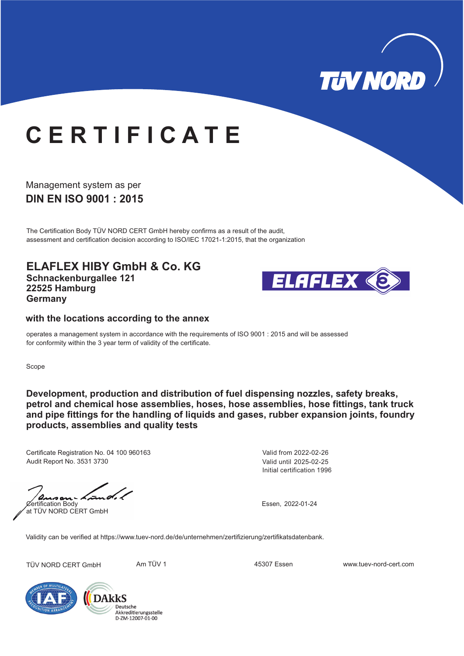

## **C E R T I F I C A T E**

**DIN EN ISO 9001 : 2015** Management system as per

The Certification Body TÜV NORD CERT GmbH hereby confirms as a result of the audit, assessment and certification decision according to ISO/IEC 17021-1:2015, that the organization

**ELAFLEX HIBY GmbH & Co. KG Schnackenburgallee 121 22525 Hamburg Germany**



## **with the locations according to the annex**

operates a management system in accordance with the requirements of ISO 9001 : 2015 and will be assessed for conformity within the 3 year term of validity of the certificate.

Scope

**D evelopment, production and distribution of fuel dispensing nozzles, safety breaks, , products assemblies and quality tests petrol and chemical hose assemblies, hoses, hose assemblies, hose fittings, tank truck and pipe fittings for the handling of liquids and gases, rubber expansion joints, foundry**

Certificate Registration No. 04 100 960163 Audit Report No. 3531 3730

Certification Body Essen, 2022-01-24 s a at TÜV NORD CERT GmbH

Initial certification 1996 Valid from 2022-02-26 Valid until 2025-02-25

Validity can be verified at https://www.tuev-nord.de/de/unternehmen/zertifizierung/zertifikatsdatenbank.

TÜV NORD CERT GmbH Am TÜV 1 45307 Essen www.tuev-nord-cert.com